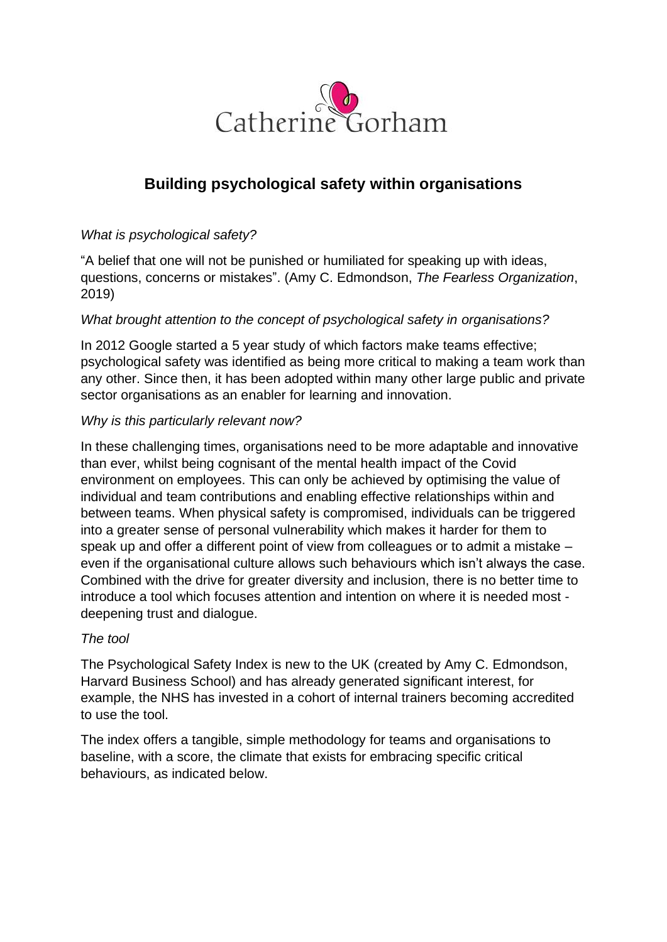

# **Building psychological safety within organisations**

# *What is psychological safety?*

"A belief that one will not be punished or humiliated for speaking up with ideas, questions, concerns or mistakes". (Amy C. Edmondson, *The Fearless Organization*, 2019)

# *What brought attention to the concept of psychological safety in organisations?*

In 2012 Google started a 5 year study of which factors make teams effective; psychological safety was identified as being more critical to making a team work than any other. Since then, it has been adopted within many other large public and private sector organisations as an enabler for learning and innovation.

# *Why is this particularly relevant now?*

In these challenging times, organisations need to be more adaptable and innovative than ever, whilst being cognisant of the mental health impact of the Covid environment on employees. This can only be achieved by optimising the value of individual and team contributions and enabling effective relationships within and between teams. When physical safety is compromised, individuals can be triggered into a greater sense of personal vulnerability which makes it harder for them to speak up and offer a different point of view from colleagues or to admit a mistake – even if the organisational culture allows such behaviours which isn't always the case. Combined with the drive for greater diversity and inclusion, there is no better time to introduce a tool which focuses attention and intention on where it is needed most deepening trust and dialogue.

# *The tool*

The Psychological Safety Index is new to the UK (created by Amy C. Edmondson, Harvard Business School) and has already generated significant interest, for example, the NHS has invested in a cohort of internal trainers becoming accredited to use the tool.

The index offers a tangible, simple methodology for teams and organisations to baseline, with a score, the climate that exists for embracing specific critical behaviours, as indicated below.